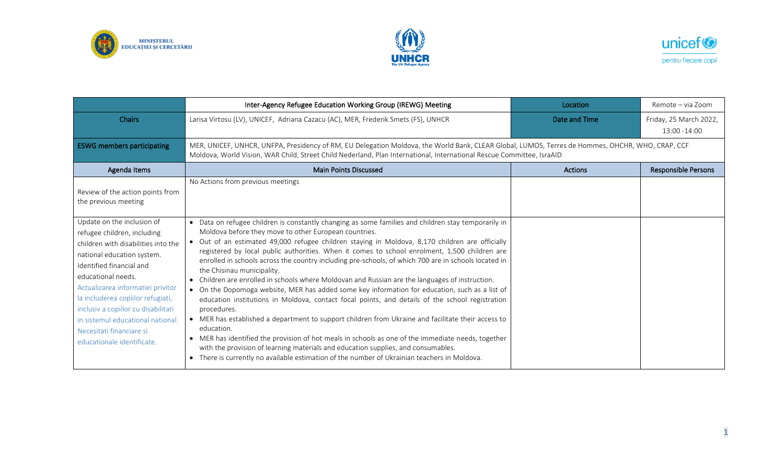





|                                                                                                                                                                                                                                                                                                                                                                                                 | Inter-Agency Refugee Education Working Group (IREWG) Meeting                                                                                                                                                                                                                                                                                                                                                                                                                                                                                                                                                                                                                                                                                                                                                                                                                                                                                                                                                                                                                                                                                                                                                                                      | Location       | Remote – via Zoom                       |
|-------------------------------------------------------------------------------------------------------------------------------------------------------------------------------------------------------------------------------------------------------------------------------------------------------------------------------------------------------------------------------------------------|---------------------------------------------------------------------------------------------------------------------------------------------------------------------------------------------------------------------------------------------------------------------------------------------------------------------------------------------------------------------------------------------------------------------------------------------------------------------------------------------------------------------------------------------------------------------------------------------------------------------------------------------------------------------------------------------------------------------------------------------------------------------------------------------------------------------------------------------------------------------------------------------------------------------------------------------------------------------------------------------------------------------------------------------------------------------------------------------------------------------------------------------------------------------------------------------------------------------------------------------------|----------------|-----------------------------------------|
| <b>Chairs</b>                                                                                                                                                                                                                                                                                                                                                                                   | Larisa Virtosu (LV), UNICEF, Adriana Cazacu (AC), MER, Frederik Smets (FS), UNHCR                                                                                                                                                                                                                                                                                                                                                                                                                                                                                                                                                                                                                                                                                                                                                                                                                                                                                                                                                                                                                                                                                                                                                                 | Date and Time  | Friday, 25 March 2022,<br>13:00 - 14:00 |
| <b>ESWG members participating</b>                                                                                                                                                                                                                                                                                                                                                               | MER, UNICEF, UNHCR, UNFPA, Presidency of RM, EU Delegation Moldova, the World Bank, CLEAR Global, LUMOS, Terres de Hommes, OHCHR, WHO, CRAP, CCF<br>Moldova, World Vision, WAR Child, Street Child Nederland, Plan International, International Rescue Committee, IsraAID                                                                                                                                                                                                                                                                                                                                                                                                                                                                                                                                                                                                                                                                                                                                                                                                                                                                                                                                                                         |                |                                         |
| Agenda Items                                                                                                                                                                                                                                                                                                                                                                                    | <b>Main Points Discussed</b>                                                                                                                                                                                                                                                                                                                                                                                                                                                                                                                                                                                                                                                                                                                                                                                                                                                                                                                                                                                                                                                                                                                                                                                                                      | <b>Actions</b> | <b>Responsible Persons</b>              |
| Review of the action points from<br>the previous meeting                                                                                                                                                                                                                                                                                                                                        | No Actions from previous meetings                                                                                                                                                                                                                                                                                                                                                                                                                                                                                                                                                                                                                                                                                                                                                                                                                                                                                                                                                                                                                                                                                                                                                                                                                 |                |                                         |
| Update on the inclusion of<br>refugee children, including<br>children with disabilities into the<br>national education system.<br>Identified financial and<br>educational needs.<br>Actualizarea informatiei privitor<br>la includerea copiilor refugiati,<br>inclusiv a copiilor cu disabilitati<br>in sistemul educational national<br>Necesitati financiare si<br>educationale identificate. | • Data on refugee children is constantly changing as some families and children stay temporarily in<br>Moldova before they move to other European countries.<br>Out of an estimated 49,000 refugee children staying in Moldova, 8,170 children are officially<br>registered by local public authorities. When it comes to school enrolment, 1,500 children are<br>enrolled in schools across the country including pre-schools, of which 700 are in schools located in<br>the Chisinau municipality.<br>Children are enrolled in schools where Moldovan and Russian are the languages of instruction.<br>• On the Dopomoga website, MER has added some key information for education, such as a list of<br>education institutions in Moldova, contact focal points, and details of the school registration<br>procedures.<br>• MER has established a department to support children from Ukraine and facilitate their access to<br>education.<br>MER has identified the provision of hot meals in schools as one of the immediate needs, together<br>$\bullet$<br>with the provision of learning materials and education supplies, and consumables.<br>There is currently no available estimation of the number of Ukrainian teachers in Moldova. |                |                                         |